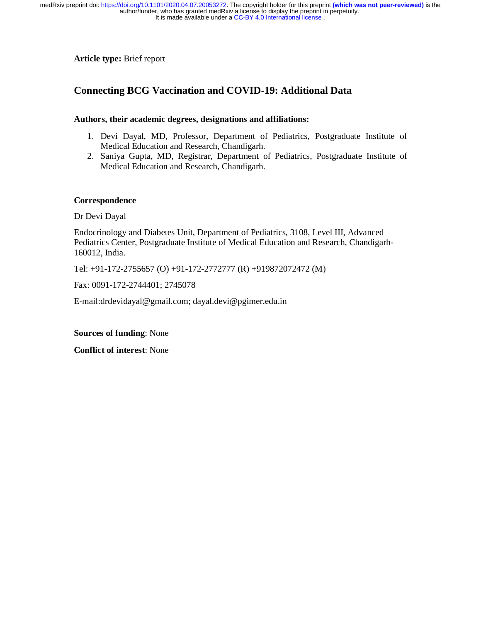# **Article type:** Brief report

# **Connecting BCG Vaccination and COVID-19: Additional Data**

# **Authors, their academic degrees, designations and affiliations:**

- 1. Devi Dayal, MD, Professor, Department of Pediatrics, Postgraduate Institute of Medical Education and Research, Chandigarh.
- 2. Saniya Gupta, MD, Registrar, Department of Pediatrics, Postgraduate Institute of Medical Education and Research, Chandigarh.

## **Correspondence**

Dr Devi Dayal

Endocrinology and Diabetes Unit, Department of Pediatrics, 3108, Level III, Advanced Pediatrics Center, Postgraduate Institute of Medical Education and Research, Chandigarh-160012, India.

Tel: +91-172-2755657 (O) +91-172-2772777 (R) +919872072472 (M)

Fax: 0091-172-2744401; 2745078

E-mail:drdevidayal@gmail.com; dayal.devi@pgimer.edu.in

**Sources of funding**: None

**Conflict of interest**: None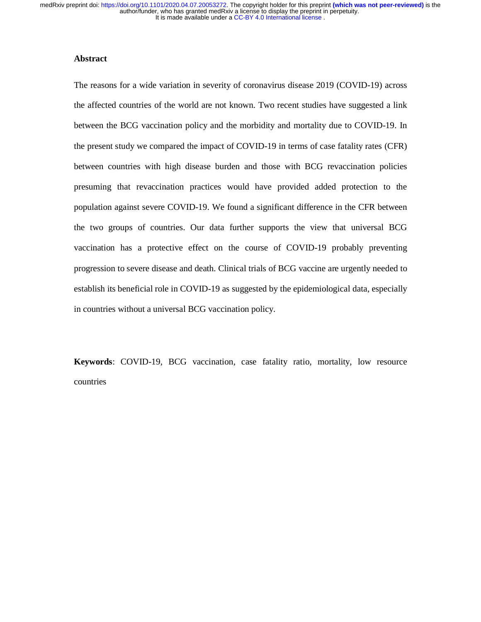### **Abstract**

The reasons for a wide variation in severity of coronavirus disease 2019 (COVID-19) across the affected countries of the world are not known. Two recent studies have suggested a link between the BCG vaccination policy and the morbidity and mortality due to COVID-19. In the present study we compared the impact of COVID-19 in terms of case fatality rates (CFR) between countries with high disease burden and those with BCG revaccination policies presuming that revaccination practices would have provided added protection to the population against severe COVID-19. We found a significant difference in the CFR between the two groups of countries. Our data further supports the view that universal BCG vaccination has a protective effect on the course of COVID-19 probably preventing progression to severe disease and death. Clinical trials of BCG vaccine are urgently needed to establish its beneficial role in COVID-19 as suggested by the epidemiological data, especially in countries without a universal BCG vaccination policy.

**Keywords**: COVID-19, BCG vaccination, case fatality ratio, mortality, low resource countries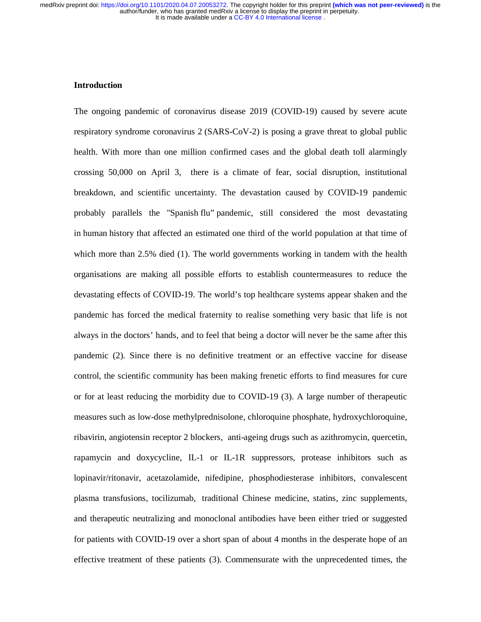#### **Introduction**

The ongoing pandemic of coronavirus disease 2019 (COVID-19) caused by severe acute respiratory syndrome coronavirus 2 (SARS-CoV-2) is posing a grave threat to global public health. With more than one million confirmed cases and the global death toll alarmingly crossing 50,000 on April 3, there is a climate of fear, social disruption, institutional breakdown, and scientific uncertainty. The devastation caused by COVID-19 pandemic probably parallels the "Spanish flu" pandemic, still considered the most devastating in human history that affected an estimated one third of the world population at that time of which more than 2.5% died (1). The world governments working in tandem with the health organisations are making all possible efforts to establish countermeasures to reduce the devastating effects of COVID-19. The world's top healthcare systems appear shaken and the pandemic has forced the medical fraternity to realise something very basic that life is not always in the doctors' hands, and to feel that being a doctor will never be the same after this pandemic (2). Since there is no definitive treatment or an effective vaccine for disease control, the scientific community has been making frenetic efforts to find measures for cure or for at least reducing the morbidity due to COVID-19 (3). A large number of therapeutic measures such as low-dose methylprednisolone, chloroquine phosphate, hydroxychloroquine, ribavirin, angiotensin receptor 2 blockers, anti-ageing drugs such as azithromycin, quercetin, rapamycin and doxycycline, IL-1 or IL-1R suppressors, protease inhibitors such as lopinavir/ritonavir, acetazolamide, nifedipine, phosphodiesterase inhibitors, convalescent plasma transfusions, tocilizumab, traditional Chinese medicine, statins, zinc supplements, and therapeutic neutralizing and monoclonal antibodies have been either tried or suggested for patients with COVID-19 over a short span of about 4 months in the desperate hope of an effective treatment of these patients (3). Commensurate with the unprecedented times, the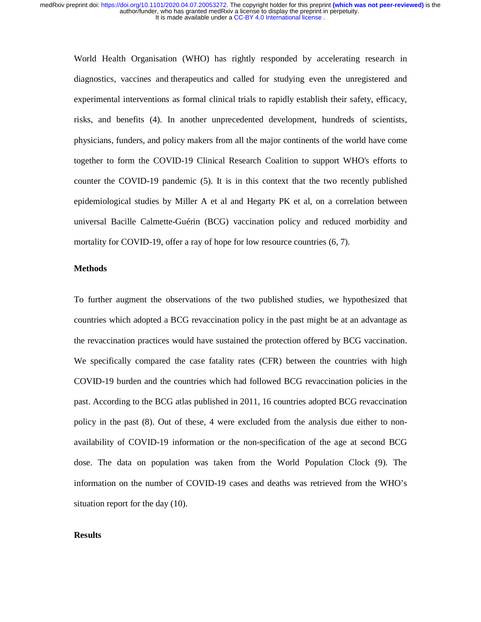World Health Organisation (WHO) has rightly responded by accelerating research in diagnostics, vaccines and therapeutics and called for studying even the unregistered and experimental interventions as formal clinical trials to rapidly establish their safety, efficacy, risks, and benefits (4). In another unprecedented development, hundreds of scientists, physicians, funders, and policy makers from all the major continents of the world have come together to form the COVID-19 Clinical Research Coalition to support WHO's efforts to counter the COVID-19 pandemic (5). It is in this context that the two recently published epidemiological studies by Miller A et al and Hegarty PK et al, on a correlation between universal Bacille Calmette-Guérin (BCG) vaccination policy and reduced morbidity and mortality for COVID-19, offer a ray of hope for low resource countries (6, 7).

#### **Methods**

To further augment the observations of the two published studies, we hypothesized that countries which adopted a BCG revaccination policy in the past might be at an advantage as the revaccination practices would have sustained the protection offered by BCG vaccination. We specifically compared the case fatality rates (CFR) between the countries with high COVID-19 burden and the countries which had followed BCG revaccination policies in the past. According to the BCG atlas published in 2011, 16 countries adopted BCG revaccination policy in the past (8). Out of these, 4 were excluded from the analysis due either to nonavailability of COVID-19 information or the non-specification of the age at second BCG dose. The data on population was taken from the World Population Clock (9). The information on the number of COVID-19 cases and deaths was retrieved from the WHO's situation report for the day (10).

#### **Results**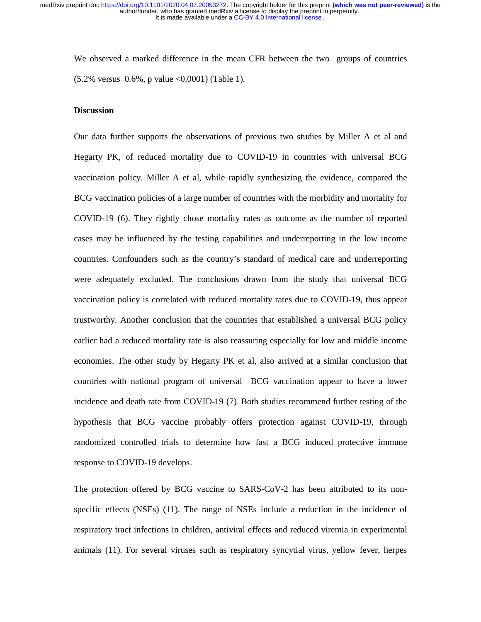We observed a marked difference in the mean CFR between the two groups of countries (5.2% versus 0.6%, p value <0.0001) (Table 1).

#### **Discussion**

Our data further supports the observations of previous two studies by Miller A et al and Hegarty PK, of reduced mortality due to COVID-19 in countries with universal BCG vaccination policy. Miller A et al, while rapidly synthesizing the evidence, compared the BCG vaccination policies of a large number of countries with the morbidity and mortality for COVID-19 (6). They rightly chose mortality rates as outcome as the number of reported cases may be influenced by the testing capabilities and underreporting in the low income countries. Confounders such as the country's standard of medical care and underreporting were adequately excluded. The conclusions drawn from the study that universal BCG vaccination policy is correlated with reduced mortality rates due to COVID-19, thus appear trustworthy. Another conclusion that the countries that established a universal BCG policy earlier had a reduced mortality rate is also reassuring especially for low and middle income economies. The other study by Hegarty PK et al, also arrived at a similar conclusion that countries with national program of universal BCG vaccination appear to have a lower incidence and death rate from COVID-19 (7). Both studies recommend further testing of the hypothesis that BCG vaccine probably offers protection against COVID-19, through randomized controlled trials to determine how fast a BCG induced protective immune response to COVID-19 develops.

The protection offered by BCG vaccine to SARS-CoV-2 has been attributed to its nonspecific effects (NSEs) (11). The range of NSEs include a reduction in the incidence of respiratory tract infections in children, antiviral effects and reduced viremia in experimental animals (11). For several viruses such as respiratory syncytial virus, yellow fever, herpes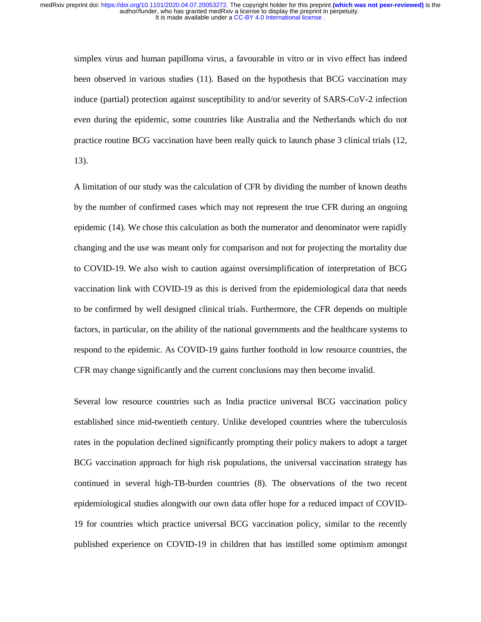simplex virus and human papilloma virus, a favourable in vitro or in vivo effect has indeed been observed in various studies (11). Based on the hypothesis that BCG vaccination may induce (partial) protection against susceptibility to and/or severity of SARS-CoV-2 infection even during the epidemic, some countries like Australia and the Netherlands which do not practice routine BCG vaccination have been really quick to launch phase 3 clinical trials (12, 13).

A limitation of our study was the calculation of CFR by dividing the number of known deaths by the number of confirmed cases which may not represent the true CFR during an ongoing epidemic (14). We chose this calculation as both the numerator and denominator were rapidly changing and the use was meant only for comparison and not for projecting the mortality due to COVID-19. We also wish to caution against oversimplification of interpretation of BCG vaccination link with COVID-19 as this is derived from the epidemiological data that needs to be confirmed by well designed clinical trials. Furthermore, the CFR depends on multiple factors, in particular, on the ability of the national governments and the healthcare systems to respond to the epidemic. As COVID-19 gains further foothold in low resource countries, the CFR may change significantly and the current conclusions may then become invalid.

Several low resource countries such as India practice universal BCG vaccination policy established since mid-twentieth century. Unlike developed countries where the tuberculosis rates in the population declined significantly prompting their policy makers to adopt a target BCG vaccination approach for high risk populations, the universal vaccination strategy has continued in several high-TB-burden countries (8). The observations of the two recent epidemiological studies alongwith our own data offer hope for a reduced impact of COVID-19 for countries which practice universal BCG vaccination policy, similar to the recently published experience on COVID-19 in children that has instilled some optimism amongst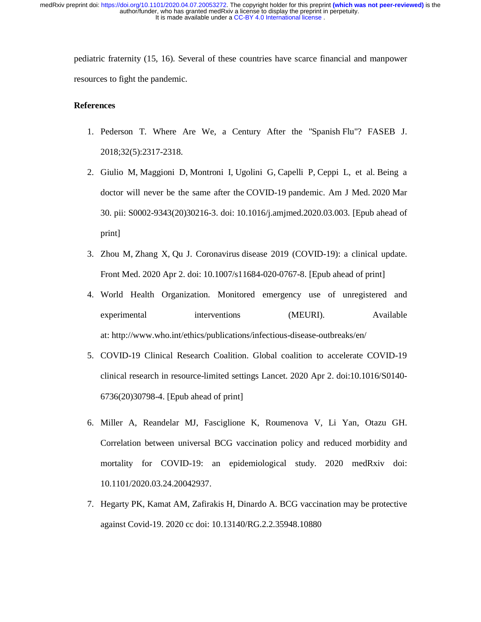pediatric fraternity (15, 16). Several of these countries have scarce financial and manpower resources to fight the pandemic.

#### **References**

- 1. Pederson T. Where Are We, a Century After the "Spanish Flu"? FASEB J. 2018;32(5):2317-2318.
- 2. Giulio M, Maggioni D, Montroni I, Ugolini G, Capelli P, Ceppi L, et al. Being a doctor will never be the same after the COVID-19 pandemic. Am J Med. 2020 Mar 30. pii: S0002-9343(20)30216-3. doi: 10.1016/j.amjmed.2020.03.003. [Epub ahead of print]
- 3. Zhou M, Zhang X, Qu J. Coronavirus disease 2019 (COVID-19): a clinical update. Front Med. 2020 Apr 2. doi: 10.1007/s11684-020-0767-8. [Epub ahead of print]
- 4. World Health Organization. Monitored emergency use of unregistered and experimental interventions (MEURI). Available at: http://www.who.int/ethics/publications/infectious-disease-outbreaks/en/
- 5. COVID-19 Clinical Research Coalition. Global coalition to accelerate COVID-19 clinical research in resource-limited settings Lancet. 2020 Apr 2. doi:10.1016/S0140- 6736(20)30798-4. [Epub ahead of print]
- 6. Miller A, Reandelar MJ, Fasciglione K, Roumenova V, Li Yan, Otazu GH. Correlation between universal BCG vaccination policy and reduced morbidity and mortality for COVID-19: an epidemiological study. 2020 medRxiv doi: 10.1101/2020.03.24.20042937.
- 7. Hegarty PK, Kamat AM, Zafirakis H, Dinardo A. BCG vaccination may be protective against Covid-19. 2020 cc doi: 10.13140/RG.2.2.35948.10880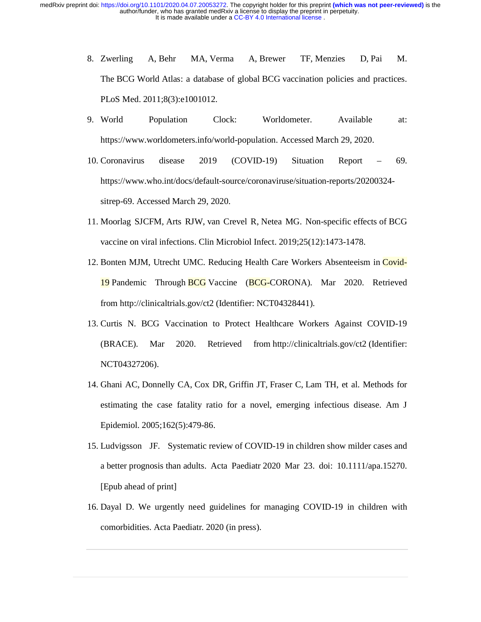- 8. Zwerling A, Behr MA, Verma A, Brewer TF, Menzies D, Pai M. The BCG World Atlas: a database of global BCG vaccination policies and practices. PLoS Med. 2011;8(3):e1001012.
- 9. World Population Clock: Worldometer. Available at: https://www.worldometers.info/world-population. Accessed March 29, 2020.
- 10. Coronavirus disease 2019 (COVID-19) Situation Report 69. https://www.who.int/docs/default-source/coronaviruse/situation-reports/20200324 sitrep-69. Accessed March 29, 2020.
- 11. Moorlag SJCFM, Arts RJW, van Crevel R, Netea MG. Non-specific effects of BCG vaccine on viral infections. Clin Microbiol Infect. 2019;25(12):1473-1478.
- 12. Bonten MJM, Utrecht UMC. Reducing Health Care Workers Absenteeism in Covid-19 Pandemic Through BCG Vaccine (BCG-CORONA). Mar 2020. Retrieved from http://clinicaltrials.gov/ct2 (Identifier: NCT04328441).
- 13. Curtis N. BCG Vaccination to Protect Healthcare Workers Against COVID-19 (BRACE). Mar 2020. Retrieved from http://clinicaltrials.gov/ct2 (Identifier: NCT04327206).
- 14. Ghani AC, Donnelly CA, Cox DR, Griffin JT, Fraser C, Lam TH, et al. Methods for estimating the case fatality ratio for a novel, emerging infectious disease. Am J Epidemiol. 2005;162(5):479-86.
- 15. Ludvigsson JF. Systematic review of COVID-19 in children show milder cases and a better prognosis than adults. Acta Paediatr 2020 Mar 23. doi: 10.1111/apa.15270. [Epub ahead of print]
- 16. Dayal D. We urgently need guidelines for managing COVID-19 in children with comorbidities. Acta Paediatr. 2020 (in press).